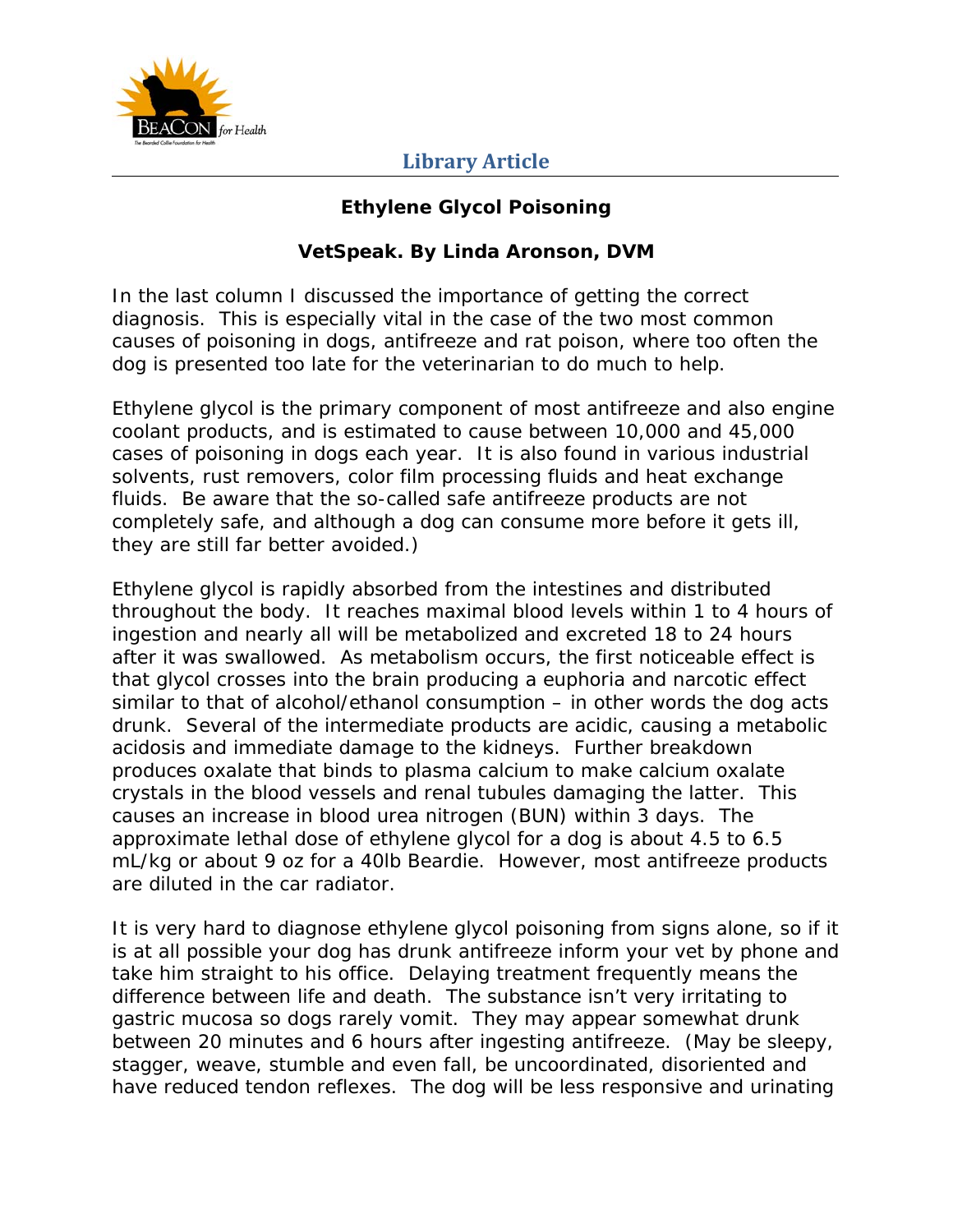

#### **Ethylene Glycol Poisoning**

#### **VetSpeak. By Linda Aronson, DVM**

In the last column I discussed the importance of getting the correct diagnosis. This is especially vital in the case of the two most common causes of poisoning in dogs, antifreeze and rat poison, where too often the dog is presented too late for the veterinarian to do much to help.

Ethylene glycol is the primary component of most antifreeze and also engine coolant products, and is estimated to cause between 10,000 and 45,000 cases of poisoning in dogs each year. It is also found in various industrial solvents, rust removers, color film processing fluids and heat exchange fluids. Be aware that the so-called safe antifreeze products are not completely safe, and although a dog can consume more before it gets ill, they are still far better avoided.)

Ethylene glycol is rapidly absorbed from the intestines and distributed throughout the body. It reaches maximal blood levels within 1 to 4 hours of ingestion and nearly all will be metabolized and excreted 18 to 24 hours after it was swallowed. As metabolism occurs, the first noticeable effect is that glycol crosses into the brain producing a euphoria and narcotic effect similar to that of alcohol/ethanol consumption – in other words the dog acts drunk. Several of the intermediate products are acidic, causing a metabolic acidosis and immediate damage to the kidneys. Further breakdown produces oxalate that binds to plasma calcium to make calcium oxalate crystals in the blood vessels and renal tubules damaging the latter. This causes an increase in blood urea nitrogen (BUN) within 3 days. The approximate lethal dose of ethylene glycol for a dog is about 4.5 to 6.5 mL/kg or about 9 oz for a 40lb Beardie. However, most antifreeze products are diluted in the car radiator.

It is very hard to diagnose ethylene glycol poisoning from signs alone, so if it is at all possible your dog has drunk antifreeze inform your vet by phone and take him straight to his office. Delaying treatment frequently means the difference between life and death. The substance isn't very irritating to gastric mucosa so dogs rarely vomit. They may appear somewhat drunk between 20 minutes and 6 hours after ingesting antifreeze. (May be sleepy, stagger, weave, stumble and even fall, be uncoordinated, disoriented and have reduced tendon reflexes. The dog will be less responsive and urinating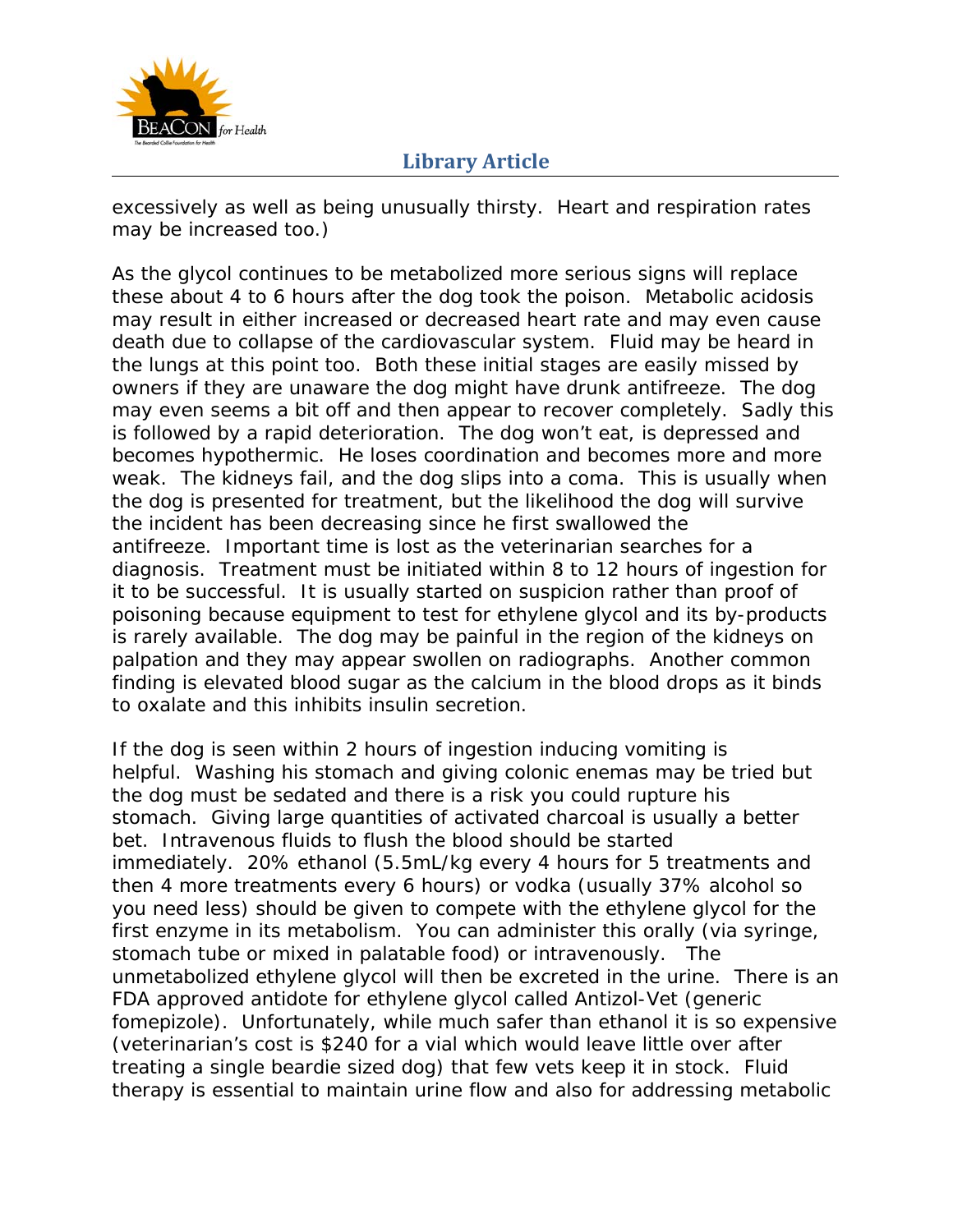

excessively as well as being unusually thirsty. Heart and respiration rates may be increased too.)

As the glycol continues to be metabolized more serious signs will replace these about 4 to 6 hours after the dog took the poison. Metabolic acidosis may result in either increased or decreased heart rate and may even cause death due to collapse of the cardiovascular system. Fluid may be heard in the lungs at this point too. Both these initial stages are easily missed by owners if they are unaware the dog might have drunk antifreeze. The dog may even seems a bit off and then appear to recover completely. Sadly this is followed by a rapid deterioration. The dog won't eat, is depressed and becomes hypothermic. He loses coordination and becomes more and more weak. The kidneys fail, and the dog slips into a coma. This is usually when the dog is presented for treatment, but the likelihood the dog will survive the incident has been decreasing since he first swallowed the antifreeze. Important time is lost as the veterinarian searches for a diagnosis. Treatment must be initiated within 8 to 12 hours of ingestion for it to be successful. It is usually started on suspicion rather than proof of poisoning because equipment to test for ethylene glycol and its by-products is rarely available. The dog may be painful in the region of the kidneys on palpation and they may appear swollen on radiographs. Another common finding is elevated blood sugar as the calcium in the blood drops as it binds to oxalate and this inhibits insulin secretion.

If the dog is seen within 2 hours of ingestion inducing vomiting is helpful. Washing his stomach and giving colonic enemas may be tried but the dog must be sedated and there is a risk you could rupture his stomach. Giving large quantities of activated charcoal is usually a better bet. Intravenous fluids to flush the blood should be started immediately. 20% ethanol (5.5mL/kg every 4 hours for 5 treatments and then 4 more treatments every 6 hours) or vodka (usually 37% alcohol so you need less) should be given to compete with the ethylene glycol for the first enzyme in its metabolism. You can administer this orally (via syringe, stomach tube or mixed in palatable food) or intravenously. The unmetabolized ethylene glycol will then be excreted in the urine. There is an FDA approved antidote for ethylene glycol called Antizol-Vet (generic fomepizole). Unfortunately, while much safer than ethanol it is so expensive (veterinarian's cost is \$240 for a vial which would leave little over after treating a single beardie sized dog) that few vets keep it in stock. Fluid therapy is essential to maintain urine flow and also for addressing metabolic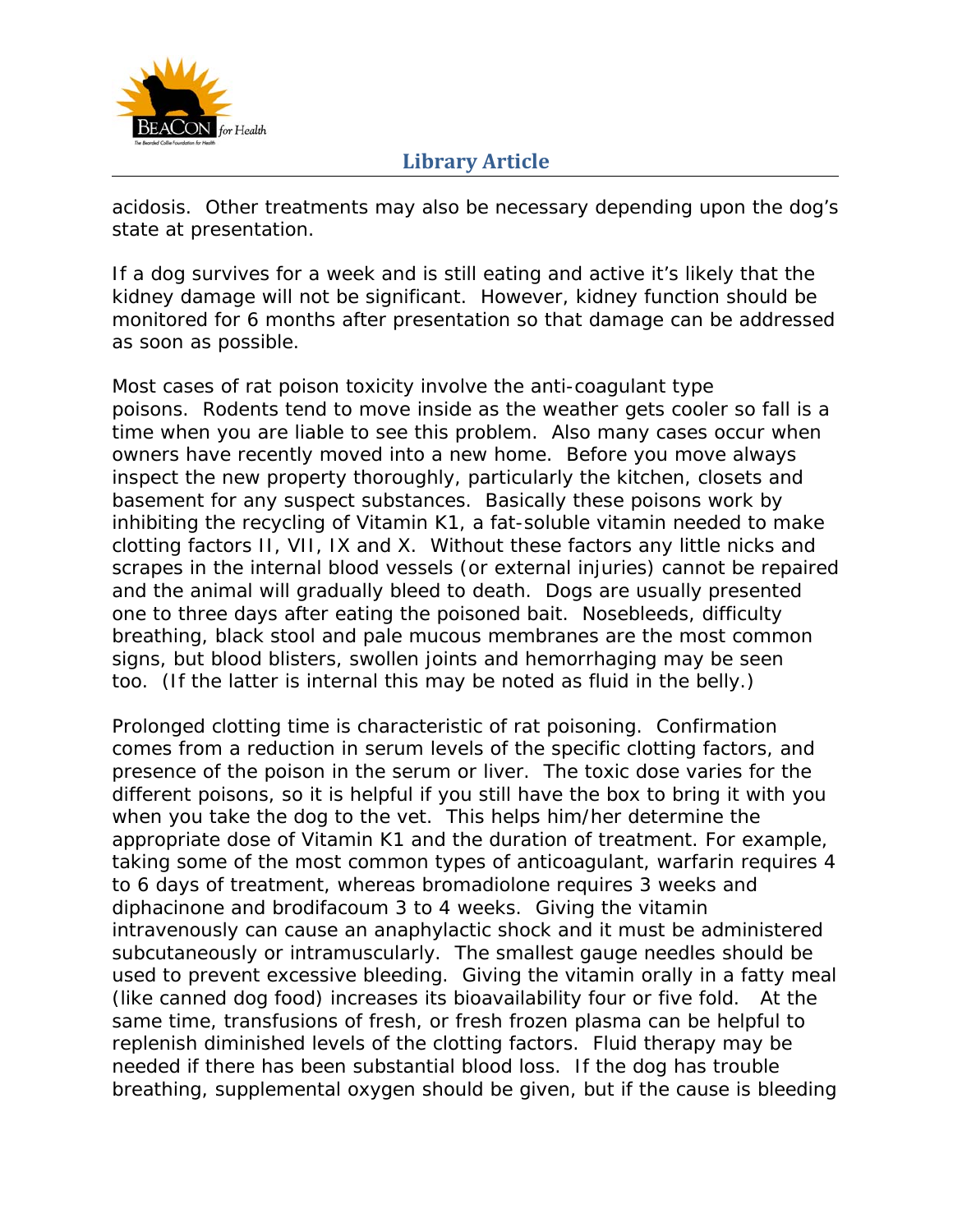

acidosis. Other treatments may also be necessary depending upon the dog's state at presentation.

If a dog survives for a week and is still eating and active it's likely that the kidney damage will not be significant. However, kidney function should be monitored for 6 months after presentation so that damage can be addressed as soon as possible.

Most cases of rat poison toxicity involve the anti-coagulant type poisons. Rodents tend to move inside as the weather gets cooler so fall is a time when you are liable to see this problem. Also many cases occur when owners have recently moved into a new home. Before you move always inspect the new property thoroughly, particularly the kitchen, closets and basement for any suspect substances. Basically these poisons work by inhibiting the recycling of Vitamin K1, a fat-soluble vitamin needed to make clotting factors II, VII, IX and X. Without these factors any little nicks and scrapes in the internal blood vessels (or external injuries) cannot be repaired and the animal will gradually bleed to death. Dogs are usually presented one to three days after eating the poisoned bait. Nosebleeds, difficulty breathing, black stool and pale mucous membranes are the most common signs, but blood blisters, swollen joints and hemorrhaging may be seen too. (If the latter is internal this may be noted as fluid in the belly.)

Prolonged clotting time is characteristic of rat poisoning. Confirmation comes from a reduction in serum levels of the specific clotting factors, and presence of the poison in the serum or liver. The toxic dose varies for the different poisons, so it is helpful if you still have the box to bring it with you when you take the dog to the vet. This helps him/her determine the appropriate dose of Vitamin K1 and the duration of treatment. For example, taking some of the most common types of anticoagulant, warfarin requires 4 to 6 days of treatment, whereas bromadiolone requires 3 weeks and diphacinone and brodifacoum 3 to 4 weeks. Giving the vitamin intravenously can cause an anaphylactic shock and it must be administered subcutaneously or intramuscularly. The smallest gauge needles should be used to prevent excessive bleeding. Giving the vitamin orally in a fatty meal (like canned dog food) increases its bioavailability four or five fold. At the same time, transfusions of fresh, or fresh frozen plasma can be helpful to replenish diminished levels of the clotting factors. Fluid therapy may be needed if there has been substantial blood loss. If the dog has trouble breathing, supplemental oxygen should be given, but if the cause is bleeding